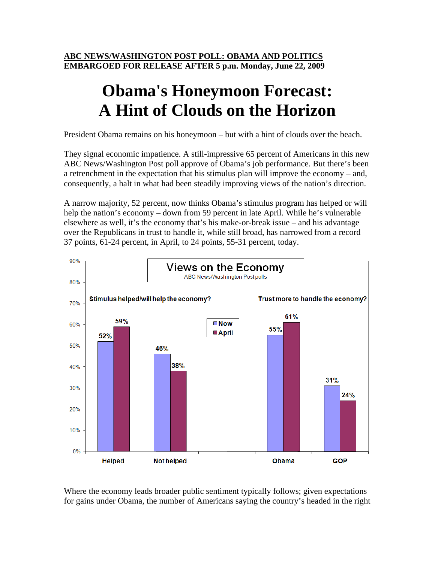**ABC NEWS/WASHINGTON POST POLL: OBAMA AND POLITICS EMBARGOED FOR RELEASE AFTER 5 p.m. Monday, June 22, 2009** 

## **Obama's Honeymoon Forecast: A Hint of Clouds on the Horizon**

President Obama remains on his honeymoon – but with a hint of clouds over the beach.

They signal economic impatience. A still-impressive 65 percent of Americans in this new ABC News/Washington Post poll approve of Obama's job performance. But there's been a retrenchment in the expectation that his stimulus plan will improve the economy – and, consequently, a halt in what had been steadily improving views of the nation's direction.

A narrow majority, 52 percent, now thinks Obama's stimulus program has helped or will help the nation's economy – down from 59 percent in late April. While he's vulnerable elsewhere as well, it's the economy that's his make-or-break issue – and his advantage over the Republicans in trust to handle it, while still broad, has narrowed from a record 37 points, 61-24 percent, in April, to 24 points, 55-31 percent, today.



Where the economy leads broader public sentiment typically follows; given expectations for gains under Obama, the number of Americans saying the country's headed in the right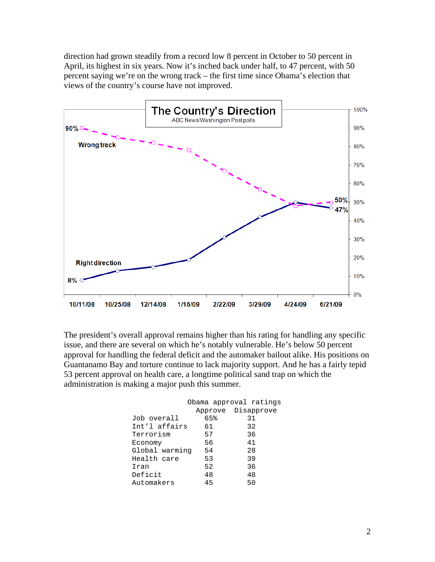direction had grown steadily from a record low 8 percent in October to 50 percent in April, its highest in six years. Now it's inched back under half, to 47 percent, with 50 percent saying we're on the wrong track – the first time since Obama's election that views of the country's course have not improved.



The president's overall approval remains higher than his rating for handling any specific issue, and there are several on which he's notably vulnerable. He's below 50 percent approval for handling the federal deficit and the automaker bailout alike. His positions on Guantanamo Bay and torture continue to lack majority support. And he has a fairly tepid 53 percent approval on health care, a longtime political sand trap on which the administration is making a major push this summer.

|                |     | Obama approval ratings |
|----------------|-----|------------------------|
|                |     | Approve Disapprove     |
| Job overall    | 65% | 31                     |
| Int'l affairs  | 61  | 32                     |
| Terrorism      | 57  | 36                     |
| Economy        | 56  | 41                     |
| Global warming | 54  | 28                     |
| Health care    | 53  | 39                     |
| Iran           | 52  | 36                     |
| Deficit        | 48  | 48                     |
| Automakers     | 45  | 50                     |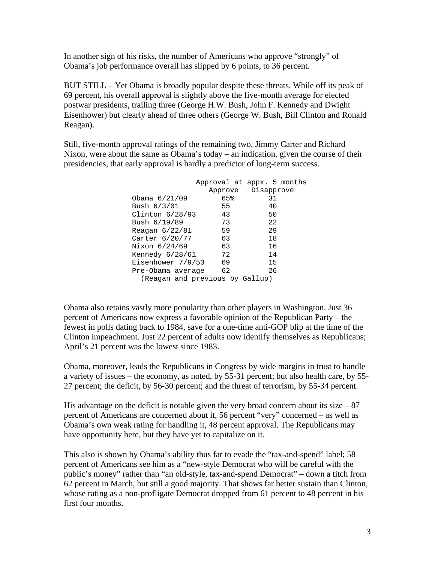In another sign of his risks, the number of Americans who approve "strongly" of Obama's job performance overall has slipped by 6 points, to 36 percent.

BUT STILL – Yet Obama is broadly popular despite these threats. While off its peak of 69 percent, his overall approval is slightly above the five-month average for elected postwar presidents, trailing three (George H.W. Bush, John F. Kennedy and Dwight Eisenhower) but clearly ahead of three others (George W. Bush, Bill Clinton and Ronald Reagan).

Still, five-month approval ratings of the remaining two, Jimmy Carter and Richard Nixon, were about the same as Obama's today – an indication, given the course of their presidencies, that early approval is hardly a predictor of long-term success.

|                                 |     | Approval at appx. 5 months |  |
|---------------------------------|-----|----------------------------|--|
|                                 |     | Approve Disapprove         |  |
| Obama $6/21/09$                 | 65% | 31                         |  |
| Bush $6/3/01$                   | 55  | 40                         |  |
| Clinton $6/28/93$               | 43  | 50                         |  |
| Bush 6/19/89                    | 73  | 22                         |  |
| Reagan $6/22/81$                | 59  | 29                         |  |
| Carter 6/20/77                  | 63  | 18                         |  |
| Nixon 6/24/69                   | 63  | 16                         |  |
| Kennedy $6/28/61$               | 72  | 14                         |  |
| Eisenhower 7/9/53               | 69  | 15                         |  |
| Pre-Obama average               | 62  | 26                         |  |
| (Reagan and previous by Gallup) |     |                            |  |

Obama also retains vastly more popularity than other players in Washington. Just 36 percent of Americans now express a favorable opinion of the Republican Party – the fewest in polls dating back to 1984, save for a one-time anti-GOP blip at the time of the Clinton impeachment. Just 22 percent of adults now identify themselves as Republicans; April's 21 percent was the lowest since 1983.

Obama, moreover, leads the Republicans in Congress by wide margins in trust to handle a variety of issues – the economy, as noted, by 55-31 percent; but also health care, by 55- 27 percent; the deficit, by 56-30 percent; and the threat of terrorism, by 55-34 percent.

His advantage on the deficit is notable given the very broad concern about its size  $-87$ percent of Americans are concerned about it, 56 percent "very" concerned – as well as Obama's own weak rating for handling it, 48 percent approval. The Republicans may have opportunity here, but they have yet to capitalize on it.

This also is shown by Obama's ability thus far to evade the "tax-and-spend" label; 58 percent of Americans see him as a "new-style Democrat who will be careful with the public's money" rather than "an old-style, tax-and-spend Democrat" – down a titch from 62 percent in March, but still a good majority. That shows far better sustain than Clinton, whose rating as a non-profligate Democrat dropped from 61 percent to 48 percent in his first four months.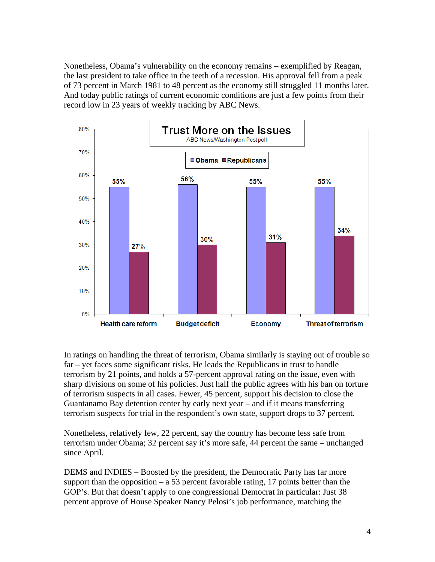Nonetheless, Obama's vulnerability on the economy remains – exemplified by Reagan, the last president to take office in the teeth of a recession. His approval fell from a peak of 73 percent in March 1981 to 48 percent as the economy still struggled 11 months later. And today public ratings of current economic conditions are just a few points from their record low in 23 years of weekly tracking by ABC News.



In ratings on handling the threat of terrorism, Obama similarly is staying out of trouble so far – yet faces some significant risks. He leads the Republicans in trust to handle terrorism by 21 points, and holds a 57-percent approval rating on the issue, even with sharp divisions on some of his policies. Just half the public agrees with his ban on torture of terrorism suspects in all cases. Fewer, 45 percent, support his decision to close the Guantanamo Bay detention center by early next year – and if it means transferring terrorism suspects for trial in the respondent's own state, support drops to 37 percent.

Nonetheless, relatively few, 22 percent, say the country has become less safe from terrorism under Obama; 32 percent say it's more safe, 44 percent the same – unchanged since April.

DEMS and INDIES – Boosted by the president, the Democratic Party has far more support than the opposition – a 53 percent favorable rating, 17 points better than the GOP's. But that doesn't apply to one congressional Democrat in particular: Just 38 percent approve of House Speaker Nancy Pelosi's job performance, matching the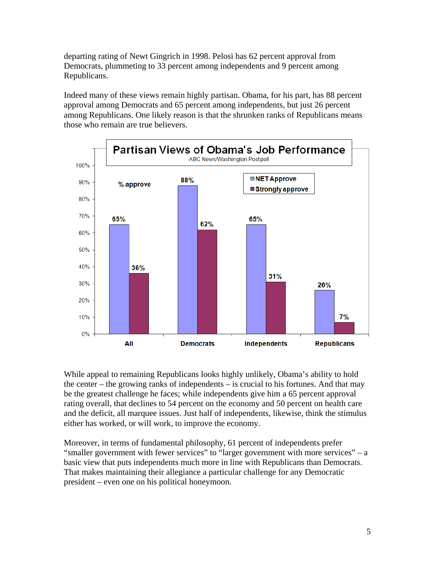departing rating of Newt Gingrich in 1998. Pelosi has 62 percent approval from Democrats, plummeting to 33 percent among independents and 9 percent among Republicans.

Indeed many of these views remain highly partisan. Obama, for his part, has 88 percent approval among Democrats and 65 percent among independents, but just 26 percent among Republicans. One likely reason is that the shrunken ranks of Republicans means those who remain are true believers.



While appeal to remaining Republicans looks highly unlikely, Obama's ability to hold the center – the growing ranks of independents – is crucial to his fortunes. And that may be the greatest challenge he faces; while independents give him a 65 percent approval rating overall, that declines to 54 percent on the economy and 50 percent on health care and the deficit, all marquee issues. Just half of independents, likewise, think the stimulus either has worked, or will work, to improve the economy.

Moreover, in terms of fundamental philosophy, 61 percent of independents prefer "smaller government with fewer services" to "larger government with more services" – a basic view that puts independents much more in line with Republicans than Democrats. That makes maintaining their allegiance a particular challenge for any Democratic president – even one on his political honeymoon.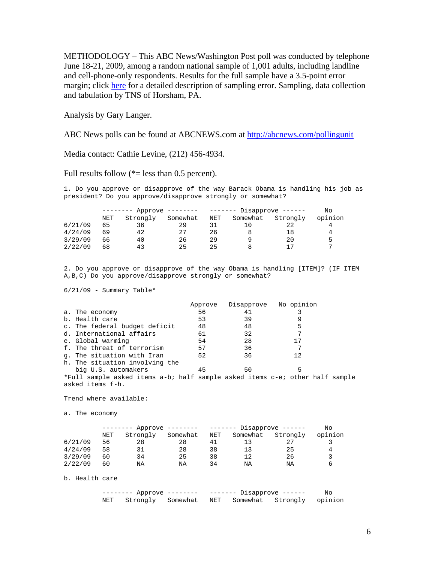METHODOLOGY – This ABC News/Washington Post poll was conducted by telephone June 18-21, 2009, among a random national sample of 1,001 adults, including landline and cell-phone-only respondents. Results for the full sample have a 3.5-point error margin; click here for a detailed description of sampling error. Sampling, data collection and tabulation by TNS of Horsham, PA.

Analysis by Gary Langer.

ABC News polls can be found at ABCNEWS.com at http://abcnews.com/pollingunit

Media contact: Cathie Levine, (212) 456-4934.

Full results follow  $(*=$  less than 0.5 percent).

1. Do you approve or disapprove of the way Barack Obama is handling his job as president? Do you approve/disapprove strongly or somewhat?

|         | Approve -------- |          |          | ------- Disapprove ------ |          |          |         |
|---------|------------------|----------|----------|---------------------------|----------|----------|---------|
|         | NET              | Strongly | Somewhat | NET                       | Somewhat | Strongly | opinion |
| 6/21/09 | 65               | 36       | 29       |                           |          | 22       |         |
| 4/24/09 | 69               | 42       | 27       | 26                        |          | 18       |         |
| 3/29/09 | 66               | 40       | 26       | 29                        |          | 20       | ь       |
| 2/22/09 | 68               | 43       | 25       | 25                        |          | 17       | −       |

2. Do you approve or disapprove of the way Obama is handling [ITEM]? (IF ITEM A,B,C) Do you approve/disapprove strongly or somewhat?

 $6/21/09$  - Summary Table\*

|                                                                              | Approve |    | Disapprove No opinion |  |
|------------------------------------------------------------------------------|---------|----|-----------------------|--|
| a. The economy                                                               | 56      | 41 |                       |  |
| b. Health care                                                               | 53      | 39 |                       |  |
| c. The federal budget deficit                                                | 48      | 48 | 5                     |  |
| d. International affairs                                                     | 61      | 32 |                       |  |
| e. Global warming                                                            | 54      | 28 | 17                    |  |
| f. The threat of terrorism                                                   | 57      | 36 |                       |  |
| q. The situation with Iran                                                   | 52      | 36 | 12                    |  |
| h. The situation involving the                                               |         |    |                       |  |
| big U.S. automakers                                                          | 45      | 50 | 5                     |  |
| *Full sample asked items a-b; half sample asked items c-e; other half sample |         |    |                       |  |
| asked items f-h.                                                             |         |    |                       |  |

Trend where available:

a. The economy

|         | Approve -------- |          |          | ------- Disapprove ------ |          |          |         |
|---------|------------------|----------|----------|---------------------------|----------|----------|---------|
|         | NET              | Strongly | Somewhat | NET                       | Somewhat | Strongly | opinion |
| 6/21/09 | 56               | 28       | 28       | 41                        | 13       |          |         |
| 4/24/09 | 58               | 31       | 28       | 38                        | 13       | 25       | 4       |
| 3/29/09 | 60               | 34       | 25       | 38                        | 12       | 26       |         |
| 2/22/09 | 60               | NA       | ΝA       | 34                        | ΝA       | ΝA       | b       |

b. Health care

| -------- Approve -------- ------- Disapprove ------ |  |  |  |  | No                                                  |  |
|-----------------------------------------------------|--|--|--|--|-----------------------------------------------------|--|
|                                                     |  |  |  |  | NET Strongly Somewhat NET Somewhat Strongly opinion |  |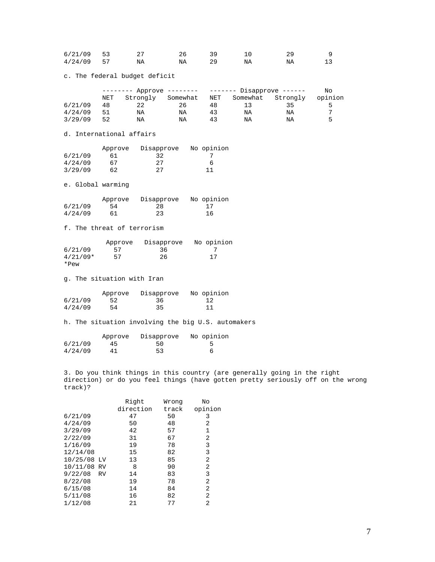| $6/21/09$ 53 |    |    |    |    |    |  |
|--------------|----|----|----|----|----|--|
| 4/24/09      | 57 | ΝA | ΝA | ΝA | ΝA |  |

c. The federal budget deficit

|         | -------- Approve -------- |          | ------- Disapprove ------ |     |          | No       |         |
|---------|---------------------------|----------|---------------------------|-----|----------|----------|---------|
|         | NET                       | Strongly | Somewhat                  | NET | Somewhat | Strongly | opinion |
| 6/21/09 | 48                        | 22       | 26                        | 48  |          | 35       | ∽       |
| 4/24/09 | 51                        | ΝA       | ΝA                        | 43  | ΝA       | ΝA       | ∍       |
| 3/29/09 | 52                        | ΝA       | ΝA                        | 43  | ΝA       | ΝA       | ᄃ       |

d. International affairs

|         | Approve | Disapprove | No opinion |
|---------|---------|------------|------------|
| 6/21/09 | 61      | 32         |            |
| 4/24/09 | 67      | 27         | h          |
| 3/29/09 | 62      | 27         | -11        |

e. Global warming

|         | Approve | Disapprove | No opinion |
|---------|---------|------------|------------|
| 6/21/09 | 54      | 28         | -17        |
| 4/24/09 | 61      | 23         | 16         |

f. The threat of terrorism

|            | Approve | Disapprove | No opinion |
|------------|---------|------------|------------|
| 6/21/09    | 57      | 36         |            |
| $4/21/09*$ | 57      | 26         | 17         |
| $*Pew$     |         |            |            |

g. The situation with Iran

|         | Approve | Disapprove | No opinion |
|---------|---------|------------|------------|
| 6/21/09 | 52      | 36         | -12        |
| 4/24/09 | 54      | 35         | 11         |

h. The situation involving the big U.S. automakers

|         | Approve | Disapprove | No opinion |
|---------|---------|------------|------------|
| 6/21/09 | 45      | 50         |            |
| 4/24/09 | 41      | 53         |            |

3. Do you think things in this country (are generally going in the right direction) or do you feel things (have gotten pretty seriously off on the wrong track)?

|             |    | Right     | Wrong | No      |
|-------------|----|-----------|-------|---------|
|             |    | direction | track | opinion |
| 6/21/09     |    | 47        | 50    | 3       |
| 4/24/09     |    | 50        | 48    | 2       |
| 3/29/09     |    | 42        | 57    | 1       |
| 2/22/09     |    | 31        | 67    | 2       |
| 1/16/09     |    | 19        | 78    | 3       |
| 12/14/08    |    | 15        | 82    | 3       |
| 10/25/08    | LV | 13        | 85    | 2       |
| 10/11/08 RV |    | 8         | 90    | 2       |
| 9/22/08     | RV | 14        | 83    | 3       |
| 8/22/08     |    | 19        | 78    | 2       |
| 6/15/08     |    | 14        | 84    | 2       |
| 5/11/08     |    | 16        | 82    | 2       |
| 1/12/08     |    | 21        | 77    | 2       |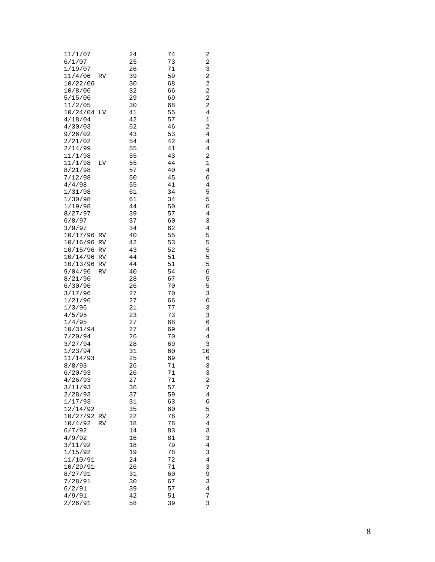| 11/1/07<br>6/1/07   |    | 24<br>25     | 74<br>73 | 2<br>2              |
|---------------------|----|--------------|----------|---------------------|
| 1/19/07             |    | 26           | 71       | 3                   |
| 11/4/06             | RV | 39           | 59       | 2                   |
| 10/22/06            |    | 30           | 68       | 2                   |
| 10/8/06             |    | 32           | 66       | 2                   |
| 5/15/06             |    | 29           | 69       | 2                   |
| 11/2/05<br>10/24/04 | LV | 30<br>41     | 68<br>55 | 2<br>4              |
| 4/18/04             |    | 42           | 57       | 1                   |
| 4/30/03             |    | 52           | 46       | 2                   |
| 9/26/02             |    | 43           | 53       | 4                   |
| 2/21/02             |    | 54           | 42       | 4                   |
| 2/14/99             |    | 55           | 41       | 4                   |
| 11/1/98             |    | 55           | 43       | 2                   |
| 11/1/98<br>8/21/98  | LV | 55<br>57     | 44<br>40 | $\mathbf 1$<br>4    |
| 7/12/98             |    | 50           | 45       | 6                   |
| 4/4/98              |    | 55           | 41       | 4                   |
| 1/31/98             |    | 61           | 34       | 5                   |
| 1/30/98             |    | 61           | 34       | 5                   |
| 1/19/98             |    | 44           | 50       | 6                   |
| 8/27/97             |    | 39           | 57       | $\overline{4}$      |
| 6/8/97<br>3/9/97    |    | 37<br>34     | 60<br>62 | 3<br>4              |
| 10/17/96            | RV | 40           | 55       | 5                   |
| 10/16/96            | RV | 42           | 53       | 5                   |
| 10/15/96            | RV | 43           | 52       | 5                   |
| 10/14/96            | RV | 44           | 51       | 5                   |
| 10/13/96            | RV | 44           | 51       | 5                   |
| 9/04/96             | RV | 40           | 54       | б                   |
| 8/21/96<br>6/30/96  |    | 28<br>26     | 67<br>70 | 5<br>5              |
| 3/17/96             |    | 27           | 70       | 3                   |
| 1/21/96             |    | 27           | 66       | б                   |
| 1/3/96              |    | 21           | 77       | 3                   |
| 4/5/95              |    | 23           | 73       | 3                   |
| 1/4/95              |    | 27           | 68       | б                   |
| 10/31/94            |    | 27           | 69<br>70 | 4<br>4              |
| 7/20/94<br>3/27/94  |    | 26<br>28     | 69       | 3                   |
| 1/23/94             |    | 31           | 60       | 10                  |
| 11/14/93            |    | 25           | 69       | 6                   |
| 8/8/93              |    | 26           | 71       | 3                   |
| 6/20/93             |    | 26           | 71       | 3                   |
| 4/26/93             |    | 27           | 71       | $\overline{a}$      |
| 3/11/93<br>2/28/93  |    | 36<br>37     | 57<br>59 | 7<br>4              |
| 1/17/93             |    | 31           | 63       | 6                   |
| 12/14/92            |    | 35           | 60       | 5                   |
| 10/27/92            | RV | 22           | 76       | 2                   |
| 10/4/92             | RV | 18           | 78       | 4                   |
| 6/7/92              |    | 14           | 83       | 3                   |
| 4/9/92              |    | 16           | 81       | 3                   |
| 3/11/92<br>1/15/92  |    | $18\,$<br>19 | 79<br>78 | $\overline{4}$<br>3 |
| 11/10/91            |    | 24           | 72       | 4                   |
| 10/29/91            |    | 26           | 71       | 3                   |
| 8/27/91             |    | 31           | 60       | 9                   |
| 7/28/91             |    | 30           | 67       | 3                   |
| 6/2/91              |    | 39           | 57       | 4                   |
| 4/9/91              |    | 42           | 51       | 7<br>$\overline{3}$ |
| 2/26/91             |    | 58           | 39       |                     |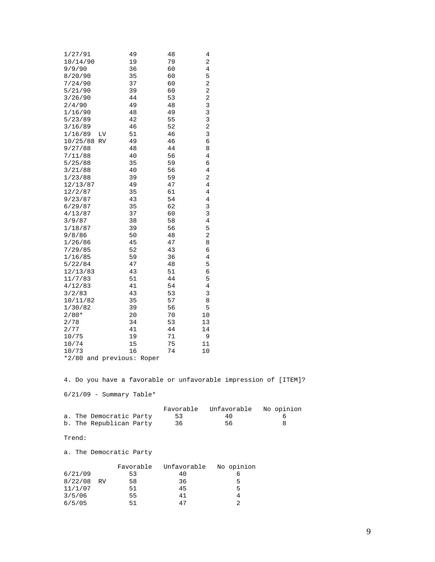| 1/27/91<br>10/14/90<br>9/9/90<br>8/20/90<br>7/24/90<br>5/21/90<br>3/26/90<br>2/4/90<br>1/16/90<br>5/23/89<br>3/16/89<br>1/16/89<br>LV<br>10/25/88 RV<br>9/27/88<br>7/11/88<br>5/25/88<br>3/21/88<br>1/23/88<br>12/13/87<br>12/2/87<br>9/23/87<br>6/29/87<br>4/13/87<br>3/9/87<br>1/18/87<br>9/8/86<br>1/26/86<br>7/29/85<br>1/16/85<br>5/22/84<br>12/13/83<br>11/7/83<br>4/12/83<br>3/2/83<br>10/11/82<br>1/30/82<br>$2/80*$<br>2/78<br>2/77<br>10/75 | 49<br>19<br>36<br>35<br>37<br>39<br>44<br>49<br>48<br>42<br>46<br>51<br>49<br>48<br>40<br>35<br>40<br>39<br>49<br>35<br>43<br>35<br>37<br>38<br>39<br>50<br>45<br>52<br>59<br>47<br>43<br>51<br>41<br>43<br>35<br>39<br>20<br>34<br>41<br>19 | 48<br>79<br>60<br>60<br>60<br>60<br>53<br>48<br>49<br>55<br>52<br>46<br>46<br>44<br>56<br>59<br>56<br>59<br>47<br>61<br>54<br>62<br>60<br>58<br>56<br>48<br>47<br>43<br>36<br>48<br>51<br>44<br>54<br>53<br>57<br>56<br>70<br>53<br>44<br>71 | 4<br>2<br>4<br>5<br>2<br>2<br>$\overline{\mathbf{c}}$<br>3<br>3<br>3<br>$\overline{\mathbf{c}}$<br>3<br>6<br>8<br>4<br>6<br>4<br>2<br>4<br>4<br>4<br>3<br>3<br>4<br>5<br>2<br>8<br>6<br>4<br>5<br>6<br>5<br>4<br>3<br>8<br>5<br>10<br>13<br>14<br>9 |                         |                      |
|-------------------------------------------------------------------------------------------------------------------------------------------------------------------------------------------------------------------------------------------------------------------------------------------------------------------------------------------------------------------------------------------------------------------------------------------------------|----------------------------------------------------------------------------------------------------------------------------------------------------------------------------------------------------------------------------------------------|----------------------------------------------------------------------------------------------------------------------------------------------------------------------------------------------------------------------------------------------|-----------------------------------------------------------------------------------------------------------------------------------------------------------------------------------------------------------------------------------------------------|-------------------------|----------------------|
|                                                                                                                                                                                                                                                                                                                                                                                                                                                       |                                                                                                                                                                                                                                              |                                                                                                                                                                                                                                              |                                                                                                                                                                                                                                                     |                         |                      |
| 10/74                                                                                                                                                                                                                                                                                                                                                                                                                                                 | 15                                                                                                                                                                                                                                           | 75                                                                                                                                                                                                                                           | 11                                                                                                                                                                                                                                                  |                         |                      |
| 10/73                                                                                                                                                                                                                                                                                                                                                                                                                                                 | 16                                                                                                                                                                                                                                           | 74                                                                                                                                                                                                                                           | 10                                                                                                                                                                                                                                                  |                         |                      |
| *2/80 and previous: Roper                                                                                                                                                                                                                                                                                                                                                                                                                             |                                                                                                                                                                                                                                              |                                                                                                                                                                                                                                              |                                                                                                                                                                                                                                                     |                         |                      |
| 4. Do you have a favorable or unfavorable impression of [ITEM]?                                                                                                                                                                                                                                                                                                                                                                                       |                                                                                                                                                                                                                                              |                                                                                                                                                                                                                                              |                                                                                                                                                                                                                                                     |                         |                      |
| $6/21/09$ - Summary Table*                                                                                                                                                                                                                                                                                                                                                                                                                            |                                                                                                                                                                                                                                              |                                                                                                                                                                                                                                              |                                                                                                                                                                                                                                                     |                         |                      |
| a. The Democratic Party<br>b. The Republican Party                                                                                                                                                                                                                                                                                                                                                                                                    |                                                                                                                                                                                                                                              | Favorable<br>53<br>36                                                                                                                                                                                                                        |                                                                                                                                                                                                                                                     | Unfavorable<br>40<br>56 | No opinion<br>6<br>8 |
| Trend:                                                                                                                                                                                                                                                                                                                                                                                                                                                |                                                                                                                                                                                                                                              |                                                                                                                                                                                                                                              |                                                                                                                                                                                                                                                     |                         |                      |
| a. The Democratic Party                                                                                                                                                                                                                                                                                                                                                                                                                               |                                                                                                                                                                                                                                              |                                                                                                                                                                                                                                              |                                                                                                                                                                                                                                                     |                         |                      |

|         |           | Favorable | Unfavorable | No opinion |
|---------|-----------|-----------|-------------|------------|
| 6/21/09 |           | 53        | 40          |            |
| 8/22/08 | <b>RV</b> | 58        | 36          | 5          |
| 11/1/07 |           | 51        | 45          | 5          |
| 3/5/06  |           | 55        | 41          |            |
| 6/5/05  |           | 51        | 47          |            |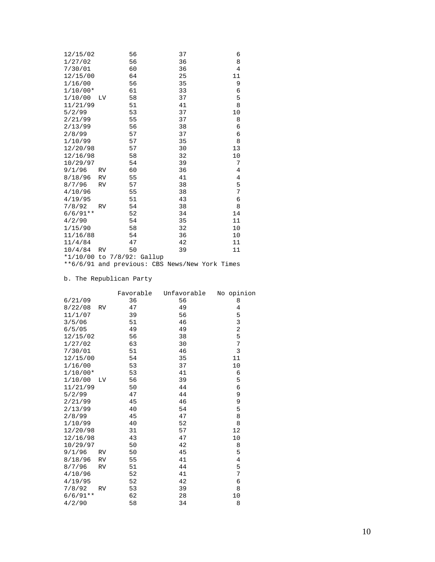| 12/15/02                   |           | 56 |  | 37                                             | 6              |
|----------------------------|-----------|----|--|------------------------------------------------|----------------|
| 1/27/02                    |           | 56 |  | 36                                             | 8              |
| 7/30/01                    |           | 60 |  | 36                                             | $\overline{4}$ |
| 12/15/00                   |           | 64 |  | 25                                             | 11             |
| 1/16/00                    |           | 56 |  | 35                                             | 9              |
| $1/10/00*$                 |           | 61 |  | 33                                             | 6              |
| 1/10/00                    | LV        | 58 |  | 37                                             | 5              |
| 11/21/99                   |           | 51 |  | 41                                             | 8              |
| 5/2/99                     |           | 53 |  | 37                                             | 10             |
| 2/21/99                    |           | 55 |  | 37                                             | 8              |
| 2/13/99                    |           | 56 |  | 38                                             | 6              |
| 2/8/99                     |           | 57 |  | 37                                             | 6              |
| 1/10/99                    |           | 57 |  | 35                                             | 8              |
| 12/20/98                   |           | 57 |  | 30                                             | 13             |
| 12/16/98                   |           | 58 |  | 32                                             | 10             |
| 10/29/97                   |           | 54 |  | 39                                             | 7              |
| 9/1/96                     | RV        | 60 |  | 36                                             | 4              |
| 8/18/96                    | <b>RV</b> | 55 |  | 41                                             | $\overline{4}$ |
| 8/7/96                     | <b>RV</b> | 57 |  | 38                                             | 5              |
| 4/10/96                    |           | 55 |  | 38                                             | 7              |
| 4/19/95                    |           | 51 |  | 43                                             | 6              |
| 7/8/92                     | <b>RV</b> | 54 |  | 38                                             | 8              |
| $6/6/91**$                 |           | 52 |  | 34                                             | 14             |
| 4/2/90                     |           | 54 |  | 35                                             | 11             |
| 1/15/90                    |           | 58 |  | 32                                             | 10             |
| 11/16/88                   |           | 54 |  | 36                                             | 10             |
| 11/4/84                    |           | 47 |  | 42                                             | 11             |
| $10/4/84$ RV               |           | 50 |  | 39                                             | 11             |
| *1/10/00 to 7/8/92: Gallup |           |    |  |                                                |                |
|                            |           |    |  | **6/6/91 and previous: CBS News/New York Times |                |

## b. The Republican Party

|            |           | Favorable | Unfavorable | No opinion     |
|------------|-----------|-----------|-------------|----------------|
| 6/21/09    |           | 36        | 56          | 8              |
| 8/22/08    | RV        | 47        | 49          | 4              |
| 11/1/07    |           | 39        | 56          | 5              |
| 3/5/06     |           | 51        | 46          | 3              |
| 6/5/05     |           | 49        | 49          | $\overline{c}$ |
| 12/15/02   |           | 56        | 38          | 5              |
| 1/27/02    |           | 63        | 30          | 7              |
| 7/30/01    |           | 51        | 46          | 3              |
| 12/15/00   |           | 54        | 35          | 11             |
| 1/16/00    |           | 53        | 37          | 10             |
| $1/10/00*$ |           | 53        | 41          | 6              |
| 1/10/00    | LV        | 56        | 39          | 5              |
| 11/21/99   |           | 50        | 44          | 6              |
| 5/2/99     |           | 47        | 44          | 9              |
| 2/21/99    |           | 45        | 46          | 9              |
| 2/13/99    |           | 40        | 54          | 5              |
| 2/8/99     |           | 45        | 47          | 8              |
| 1/10/99    |           | 40        | 52          | 8              |
| 12/20/98   |           | 31        | 57          | 12             |
| 12/16/98   |           | 43        | 47          | 10             |
| 10/29/97   |           | 50        | 42          | 8              |
| 9/1/96     | <b>RV</b> | 50        | 45          | 5              |
| 8/18/96    | <b>RV</b> | 55        | 41          | $\overline{4}$ |
| 8/7/96     | RV        | 51        | 44          | 5              |
| 4/10/96    |           | 52        | 41          | 7              |
| 4/19/95    |           | 52        | 42          | 6              |
| 7/8/92     | <b>RV</b> | 53        | 39          | 8              |
| $6/6/91**$ |           | 62        | 28          | 10             |
| 4/2/90     |           | 58        | 34          | 8              |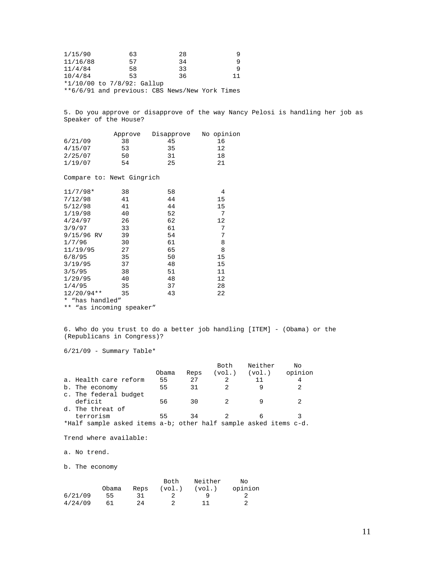| 1/15/90  | 63                                             | 28 |    |
|----------|------------------------------------------------|----|----|
| 11/16/88 | 57                                             | 34 | q  |
| 11/4/84  | 58                                             | 33 | q  |
| 10/4/84  | 53.                                            | 36 | 11 |
|          | *1/10/00 to 7/8/92: Gallup                     |    |    |
|          | **6/6/91 and previous: CBS News/New York Times |    |    |

5. Do you approve or disapprove of the way Nancy Pelosi is handling her job as Speaker of the House?

|         | Approve | Disapprove | No opinion |
|---------|---------|------------|------------|
| 6/21/09 | 38      | 45         | 16         |
| 4/15/07 | 53      | 35         | 12         |
| 2/25/07 | 50      | 31         | 18         |
| 1/19/07 | 54      | 25         | 21         |

Compare to: Newt Gingrich

| $11/7/98*$               | 38 | 58 | 4  |
|--------------------------|----|----|----|
| 7/12/98                  | 41 | 44 | 15 |
| 5/12/98                  | 41 | 44 | 15 |
| 1/19/98                  | 40 | 52 | 7  |
| 4/24/97                  | 26 | 62 | 12 |
| 3/9/97                   | 33 | 61 | 7  |
| 9/15/96 RV               | 39 | 54 | 7  |
| 1/7/96                   | 30 | 61 | 8  |
| 11/19/95                 | 27 | 65 | 8  |
| 6/8/95                   | 35 | 50 | 15 |
| 3/19/95                  | 37 | 48 | 15 |
| 3/5/95                   | 38 | 51 | 11 |
| 1/29/95                  | 40 | 48 | 12 |
| 1/4/95                   | 35 | 37 | 28 |
| $12/20/94**$             | 35 | 43 | 22 |
| $\star$<br>"has handled" |    |    |    |
|                          |    |    |    |

\*\* "as incoming speaker"

6. Who do you trust to do a better job handling [ITEM] - (Obama) or the (Republicans in Congress)?

 $6/21/09$  - Summary Table\*

|                                                                  |       |      | Both   | Neither | Nο      |
|------------------------------------------------------------------|-------|------|--------|---------|---------|
|                                                                  | Obama | Reps | (vol.) | (vol.)  | opinion |
| a. Health care reform                                            | 55    | 27   |        | 11      | 4       |
| b. The economy                                                   | 55    | 31   |        |         |         |
| c. The federal budget                                            |       |      |        |         |         |
| deficit                                                          | 56    | 30   |        |         |         |
| d. The threat of                                                 |       |      |        |         |         |
| terrorism                                                        | 55    | 34   |        | 6       |         |
| *Half sample asked items a-b; other half sample asked items c-d. |       |      |        |         |         |

Trend where available:

a. No trend.

b. The economy

|         |       |      | Both   | Neither | Nο      |
|---------|-------|------|--------|---------|---------|
|         | Obama | Reps | (vol.) | (vol.)  | opinion |
| 6/21/09 | 55    |      |        |         |         |
| 4/24/09 | 61    | 24   |        |         |         |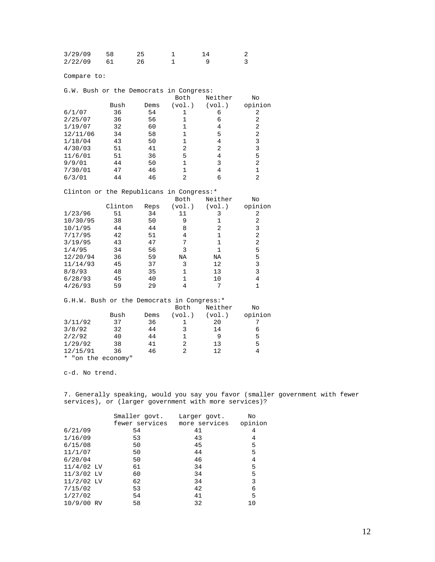| 3/29/09 | 58 |  |  |
|---------|----|--|--|
| 2/22/09 |    |  |  |

Compare to:

| G.W. Bush or the Democrats in Congress:    |         |      |                |                |                |
|--------------------------------------------|---------|------|----------------|----------------|----------------|
|                                            |         |      | Both           | Neither        | No             |
|                                            | Bush    | Dems | (vol.)         | (vol.)         | opinion        |
| 6/1/07                                     | 36      | 54   | $\mathbf 1$    | 6              | 2              |
| 2/25/07                                    | 36      | 56   | $\mathbf{1}$   | 6              | 2              |
| 1/19/07                                    | 32      | 60   | $\mathbf 1$    | $\overline{4}$ | $\overline{2}$ |
| 12/11/06                                   | 34      | 58   | $\mathbf{1}$   | 5              | $\overline{c}$ |
| 1/18/04                                    | 43      | 50   | $\mathbf 1$    | $\overline{4}$ | 3              |
| 4/30/03                                    | 51      | 41   | $\overline{2}$ | 2              | 3              |
| 11/6/01                                    | 51      | 36   | 5              | $\overline{4}$ | 5              |
| 9/9/01                                     | 44      | 50   | $\mathbf{1}$   | 3              | $\overline{2}$ |
| 7/30/01                                    | 47      | 46   | 1              | $\overline{4}$ | $\mathbf{1}$   |
| 6/3/01                                     | 44      | 46   | 2              | 6              | $\overline{a}$ |
| Clinton or the Republicans in Congress:*   |         |      |                |                |                |
|                                            |         |      | Both           | Neither        | No             |
|                                            | Clinton | Reps | (vol.)         | (vol.)         | opinion        |
| 1/23/96                                    | 51      | 34   | 11             | 3              | 2              |
| 10/30/95                                   | 38      | 50   | 9              | $\mathbf{1}$   | 2              |
| 10/1/95                                    | 44      | 44   | 8              | $\overline{2}$ | 3              |
| 7/17/95                                    | 42      | 51   | 4              | $\mathbf{1}$   | $\overline{2}$ |
| 3/19/95                                    | 43      | 47   | 7              | $\mathbf{1}$   | 2              |
| 1/4/95                                     | 34      | 56   | 3              | $\mathbf{1}$   | 5              |
| 12/20/94                                   | 36      | 59   | NA             | NA             | 5              |
| 11/14/93                                   | 45      | 37   | 3              | 12             | 3              |
| 8/8/93                                     | 48      | 35   | $\mathbf{1}$   | 13             | 3              |
| 6/28/93                                    | 45      | 40   | $\mathbf 1$    | 10             | $\overline{4}$ |
| 4/26/93                                    | 59      | 29   | 4              | 7              | $\mathbf{1}$   |
| G.H.W. Bush or the Democrats in Congress:* |         |      |                |                |                |
|                                            |         |      | Both           | Neither        | No             |
|                                            | Bush    | Dems | (vol.)         | (vol.)         | opinion        |
| 3/11/92                                    | 37      | 36   | $\mathbf{1}$   | 20             | 7              |
| 3/8/92                                     | 32      | 44   | 3              | 14             | 6              |
| 2/2/92                                     | 40      | 44   | $\mathbf 1$    | 9              | 5              |
| 1/29/92                                    | 38      | 41   | 2              | 13             | 5              |
| 12/15/91                                   |         |      |                |                |                |
|                                            | 36      | 46   | 2              | 12             | $\overline{4}$ |

c-d. No trend.

7. Generally speaking, would you say you favor (smaller government with fewer services), or (larger government with more services)?

|              | Smaller govt.  | Larger govt.  | No      |
|--------------|----------------|---------------|---------|
|              | fewer services | more services | opinion |
| 6/21/09      | 54             | 41            | 4       |
| 1/16/09      | 53             | 43            | 4       |
| 6/15/08      | 50             | 45            | 5       |
| 11/1/07      | 50             | 44            | 5       |
| 6/20/04      | 50             | 46            | 4       |
| $11/4/02$ LV | 61             | 34            | 5       |
| $11/3/02$ LV | 60             | 34            | 5       |
| $11/2/02$ LV | 62             | 34            | 3       |
| 7/15/02      | 53             | 42            | 6       |
| 1/27/02      | 54             | 41            | 5       |
| 10/9/00 RV   | 58             | 32            | 10      |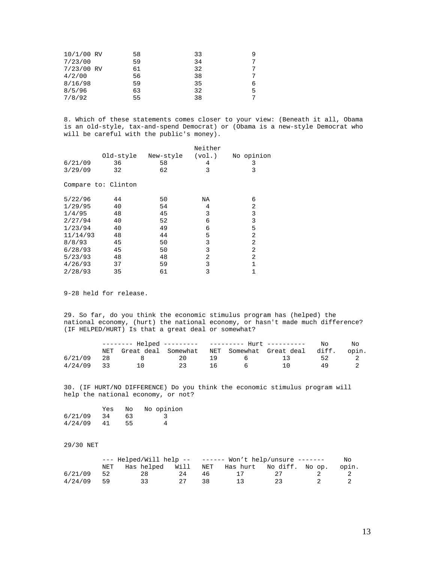| 10/1/00 RV | 58 | 33 |   |
|------------|----|----|---|
| 7/23/00    | 59 | 34 | 7 |
| 7/23/00 RV | 61 | 32 |   |
| 4/2/00     | 56 | 38 | 7 |
| 8/16/98    | 59 | 35 | 6 |
| 8/5/96     | 63 | 32 | 5 |
| 7/8/92     | 55 | 38 | 7 |

8. Which of these statements comes closer to your view: (Beneath it all, Obama is an old-style, tax-and-spend Democrat) or (Obama is a new-style Democrat who will be careful with the public's money).

|          |                     |           | Neither |                |
|----------|---------------------|-----------|---------|----------------|
|          | Old-style           | New-style | (vol.)  | No opinion     |
| 6/21/09  | 36                  | 58        | 4       | 3              |
| 3/29/09  | 32                  | 62        | 3       | 3              |
|          | Compare to: Clinton |           |         |                |
| 5/22/96  | 44                  | 50        | ΝA      | 6              |
| 1/29/95  | 40                  | 54        | 4       | $\overline{2}$ |
| 1/4/95   | 48                  | 45        | 3       | 3              |
| 2/27/94  | 40                  | 52        | 6       | 3              |
| 1/23/94  | 40                  | 49        | 6       | 5              |
| 11/14/93 | 48                  | 44        | 5       | 2              |
| 8/8/93   | 45                  | 50        | 3       | $\overline{2}$ |
| 6/28/93  | 45                  | 50        | 3       | 2              |
| 5/23/93  | 48                  | 48        | 2       | 2              |
| 4/26/93  | 37                  | 59        | 3       | 1              |
| 2/28/93  | 35                  | 61        | 3       | 1              |

9-28 held for release.

29. So far, do you think the economic stimulus program has (helped) the national economy, (hurt) the national economy, or hasn't made much difference? (IF HELPED/HURT) Is that a great deal or somewhat?

|              |                 |    |    |                | Nο                                                    | NΟ   |       |
|--------------|-----------------|----|----|----------------|-------------------------------------------------------|------|-------|
|              |                 |    |    |                | NET Great deal Somewhat NET Somewhat Great deal diff. |      | opin. |
| 6/21/09 28   | 8 20            |    | 19 |                | 6 13                                                  | - 52 |       |
| $4/24/09$ 33 | $\overline{10}$ | 23 | 16 | 6 <sup>6</sup> | 10                                                    | 49   |       |

30. (IF HURT/NO DIFFERENCE) Do you think the economic stimulus program will help the national economy, or not?

|         | Yes | N∩ | No opinion |
|---------|-----|----|------------|
| 6/21/09 | -34 | 63 |            |
| 4/24/09 | 41  | 55 |            |

## 29/30 NET

|              |     |                                              |    |    | $---$ Helped/Will help -- $---$ Won't help/unsure $---$ |          |  |       |
|--------------|-----|----------------------------------------------|----|----|---------------------------------------------------------|----------|--|-------|
|              | NET | Has helped Will NET Has hurt No diff. No op. |    |    |                                                         |          |  | opin. |
| 6/21/09      | 52  | 28                                           | 24 | 46 |                                                         | - 27 - 1 |  |       |
| $4/24/09$ 59 |     |                                              |    | 38 |                                                         | -23-     |  |       |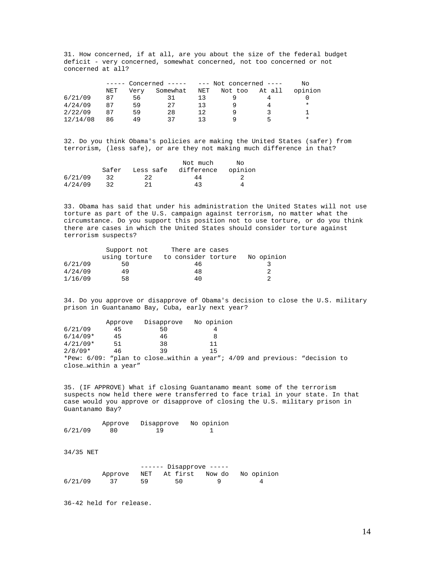31. How concerned, if at all, are you about the size of the federal budget deficit - very concerned, somewhat concerned, not too concerned or not concerned at all?

|          |     | $---$ Concerned $-- ---$ Not concerned $---$ |          |     |         |        | N∩      |  |
|----------|-----|----------------------------------------------|----------|-----|---------|--------|---------|--|
|          | NET | Verv                                         | Somewhat | NET | Not too | At all | opinion |  |
| 6/21/09  | 87  | 56                                           |          | 13  |         |        |         |  |
| 4/24/09  | 87  | 59                                           | 27       | 1 3 |         |        | $\ast$  |  |
| 2/22/09  | 87  | 59                                           | 28       | 12  |         |        |         |  |
| 12/14/08 | 86  | 49                                           | 37       |     |         | ∽      | *       |  |

32. Do you think Obama's policies are making the United States (safer) from terrorism, (less safe), or are they not making much difference in that?

|         |       |           | Not much   | N∩      |
|---------|-------|-----------|------------|---------|
|         | Safer | Less safe | difference | opinion |
| 6/21/09 | 32    | 22        | 44         |         |
| 4/24/09 | 32    | 21        | 43         |         |

33. Obama has said that under his administration the United States will not use torture as part of the U.S. campaign against terrorism, no matter what the circumstance. Do you support this position not to use torture, or do you think there are cases in which the United States should consider torture against terrorism suspects?

|         | Support not   | There are cases     |            |
|---------|---------------|---------------------|------------|
|         | using torture | to consider torture | No opinion |
| 6/21/09 | 50            | 46                  |            |
| 4/24/09 | 49            | 48                  |            |
| 1/16/09 | 58            | 40                  |            |

34. Do you approve or disapprove of Obama's decision to close the U.S. military prison in Guantanamo Bay, Cuba, early next year?

|                     | Approve | Disapprove | No opinion |                                                                                |  |
|---------------------|---------|------------|------------|--------------------------------------------------------------------------------|--|
| 6/21/09             | 45      | 50         |            |                                                                                |  |
| $6/14/09*$          | 45      | 46         |            |                                                                                |  |
| $4/21/09*$          | 51      | 38         | 11         |                                                                                |  |
| $2/8/09*$           | 46      | 39         | 15         |                                                                                |  |
|                     |         |            |            | *Pew: $6/09$ : "plan to closewithin a year"; $4/09$ and previous: "decision to |  |
| closewithin a year" |         |            |            |                                                                                |  |

35. (IF APPROVE) What if closing Guantanamo meant some of the terrorism suspects now held there were transferred to face trial in your state. In that case would you approve or disapprove of closing the U.S. military prison in Guantanamo Bay?

 Approve Disapprove No opinion 6/21/09 80 19 1

34/35 NET

|         | $----$ Disapprove $----$ |    |                     |  |            |
|---------|--------------------------|----|---------------------|--|------------|
|         | Approve                  |    | NET At-first Now-do |  | No opinion |
| 6/21/09 |                          | 59 | 50                  |  |            |

36-42 held for release.